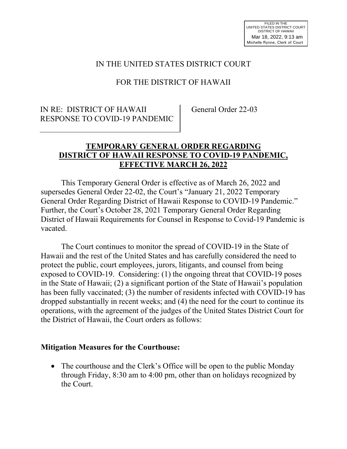### IN THE UNITED STATES DISTRICT COURT

# FOR THE DISTRICT OF HAWAII

#### IN RE: DISTRICT OF HAWAII RESPONSE TO COVID-19 PANDEMIC

General Order 22-03

### **TEMPORARY GENERAL ORDER REGARDING DISTRICT OF HAWAII RESPONSE TO COVID-19 PANDEMIC, EFFECTIVE MARCH 26, 2022**

This Temporary General Order is effective as of March 26, 2022 and supersedes General Order 22-02, the Court's "January 21, 2022 Temporary General Order Regarding District of Hawaii Response to COVID-19 Pandemic." Further, the Court's October 28, 2021 Temporary General Order Regarding District of Hawaii Requirements for Counsel in Response to Covid-19 Pandemic is vacated.

The Court continues to monitor the spread of COVID-19 in the State of Hawaii and the rest of the United States and has carefully considered the need to protect the public, court employees, jurors, litigants, and counsel from being exposed to COVID-19. Considering: (1) the ongoing threat that COVID-19 poses in the State of Hawaii; (2) a significant portion of the State of Hawaii's population has been fully vaccinated; (3) the number of residents infected with COVID-19 has dropped substantially in recent weeks; and (4) the need for the court to continue its operations, with the agreement of the judges of the United States District Court for the District of Hawaii, the Court orders as follows:

#### **Mitigation Measures for the Courthouse:**

• The courthouse and the Clerk's Office will be open to the public Monday through Friday, 8:30 am to 4:00 pm, other than on holidays recognized by the Court.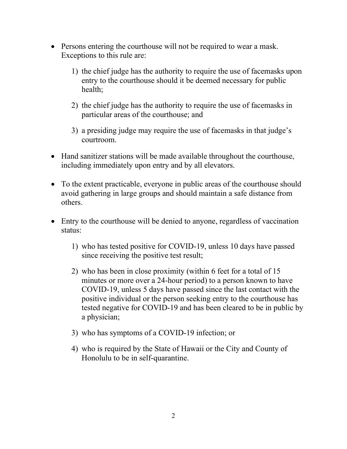- Persons entering the courthouse will not be required to wear a mask. Exceptions to this rule are:
	- 1) the chief judge has the authority to require the use of facemasks upon entry to the courthouse should it be deemed necessary for public health;
	- 2) the chief judge has the authority to require the use of facemasks in particular areas of the courthouse; and
	- 3) a presiding judge may require the use of facemasks in that judge's courtroom.
- Hand sanitizer stations will be made available throughout the courthouse, including immediately upon entry and by all elevators.
- To the extent practicable, everyone in public areas of the courthouse should avoid gathering in large groups and should maintain a safe distance from others.
- Entry to the courthouse will be denied to anyone, regardless of vaccination status:
	- 1) who has tested positive for COVID-19, unless 10 days have passed since receiving the positive test result;
	- 2) who has been in close proximity (within 6 feet for a total of 15 minutes or more over a 24-hour period) to a person known to have COVID-19, unless 5 days have passed since the last contact with the positive individual or the person seeking entry to the courthouse has tested negative for COVID-19 and has been cleared to be in public by a physician;
	- 3) who has symptoms of a COVID-19 infection; or
	- 4) who is required by the State of Hawaii or the City and County of Honolulu to be in self-quarantine.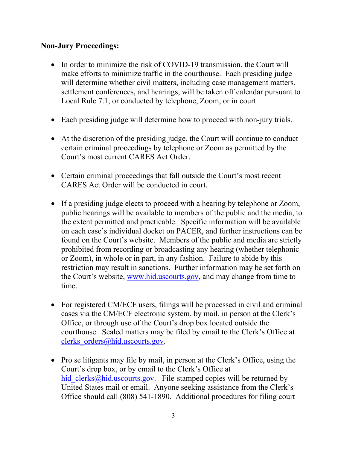### **Non-Jury Proceedings:**

- In order to minimize the risk of COVID-19 transmission, the Court will make efforts to minimize traffic in the courthouse. Each presiding judge will determine whether civil matters, including case management matters, settlement conferences, and hearings, will be taken off calendar pursuant to Local Rule 7.1, or conducted by telephone, Zoom, or in court.
- Each presiding judge will determine how to proceed with non-jury trials.
- At the discretion of the presiding judge, the Court will continue to conduct certain criminal proceedings by telephone or Zoom as permitted by the Court's most current CARES Act Order.
- Certain criminal proceedings that fall outside the Court's most recent CARES Act Order will be conducted in court.
- If a presiding judge elects to proceed with a hearing by telephone or Zoom, public hearings will be available to members of the public and the media, to the extent permitted and practicable. Specific information will be available on each case's individual docket on PACER, and further instructions can be found on the Court's website. Members of the public and media are strictly prohibited from recording or broadcasting any hearing (whether telephonic or Zoom), in whole or in part, in any fashion. Failure to abide by this restriction may result in sanctions. Further information may be set forth on the Court's website, [www.hid.uscourts.gov,](http://www.hid.uscourts.gov/) and may change from time to time.
- For registered CM/ECF users, filings will be processed in civil and criminal cases via the CM/ECF electronic system, by mail, in person at the Clerk's Office, or through use of the Court's drop box located outside the courthouse. Sealed matters may be filed by email to the Clerk's Office at clerks orders@hid.uscourts.gov.
- Pro se litigants may file by mail, in person at the Clerk's Office, using the Court's drop box, or by email to the Clerk's Office at hid clerks@hid.uscourts.gov. File-stamped copies will be returned by United States mail or email. Anyone seeking assistance from the Clerk's Office should call (808) 541-1890. Additional procedures for filing court